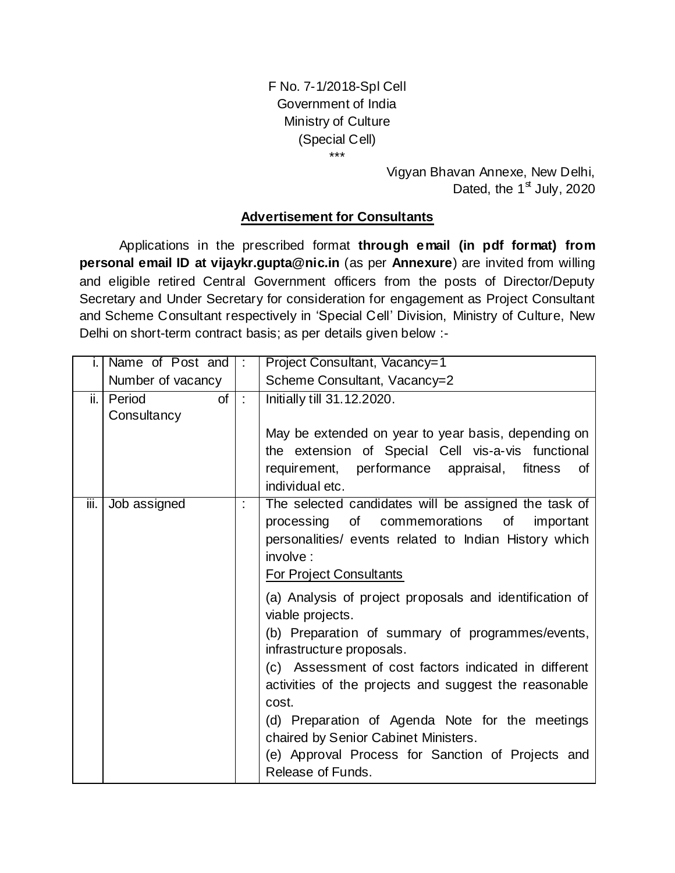F No. 7-1/2018-Spl Cell Government of India Ministry of Culture (Special Cell) \*\*\*

> Vigyan Bhavan Annexe, New Delhi, Dated, the  $1<sup>st</sup>$  July, 2020

### **Advertisement for Consultants**

Applications in the prescribed format **through email (in pdf format) from personal email ID at vijaykr.gupta@nic.in** (as per **Annexure**) are invited from willing and eligible retired Central Government officers from the posts of Director/Deputy Secretary and Under Secretary for consideration for engagement as Project Consultant and Scheme Consultant respectively in 'Special Cell' Division, Ministry of Culture, New Delhi on short-term contract basis; as per details given below :-

|      | Name of Post and  | Project Consultant, Vacancy=1<br>$\ddot{\phantom{a}}$ |                                                                                                                |  |  |  |
|------|-------------------|-------------------------------------------------------|----------------------------------------------------------------------------------------------------------------|--|--|--|
|      | Number of vacancy |                                                       | Scheme Consultant, Vacancy=2                                                                                   |  |  |  |
| ii.  | Period<br>of      | $\mathbb{R}^2$                                        | Initially till 31.12.2020.                                                                                     |  |  |  |
|      | Consultancy       |                                                       |                                                                                                                |  |  |  |
|      |                   |                                                       | May be extended on year to year basis, depending on                                                            |  |  |  |
|      |                   |                                                       | the extension of Special Cell vis-a-vis functional                                                             |  |  |  |
|      |                   |                                                       | requirement, performance appraisal,<br>fitness<br>οf<br>individual etc.                                        |  |  |  |
| iii. | Job assigned      | İ.                                                    | The selected candidates will be assigned the task of                                                           |  |  |  |
|      |                   |                                                       | of<br>commemorations<br>processing<br>0f<br>important                                                          |  |  |  |
|      |                   |                                                       | personalities/ events related to Indian History which                                                          |  |  |  |
|      |                   |                                                       | involve:                                                                                                       |  |  |  |
|      |                   |                                                       | <b>For Project Consultants</b>                                                                                 |  |  |  |
|      |                   |                                                       | (a) Analysis of project proposals and identification of<br>viable projects.                                    |  |  |  |
|      |                   |                                                       | (b) Preparation of summary of programmes/events,<br>infrastructure proposals.                                  |  |  |  |
|      |                   |                                                       | (c) Assessment of cost factors indicated in different<br>activities of the projects and suggest the reasonable |  |  |  |
|      |                   |                                                       | cost.                                                                                                          |  |  |  |
|      |                   |                                                       | (d) Preparation of Agenda Note for the meetings                                                                |  |  |  |
|      |                   |                                                       | chaired by Senior Cabinet Ministers.                                                                           |  |  |  |
|      |                   |                                                       | (e) Approval Process for Sanction of Projects and<br>Release of Funds.                                         |  |  |  |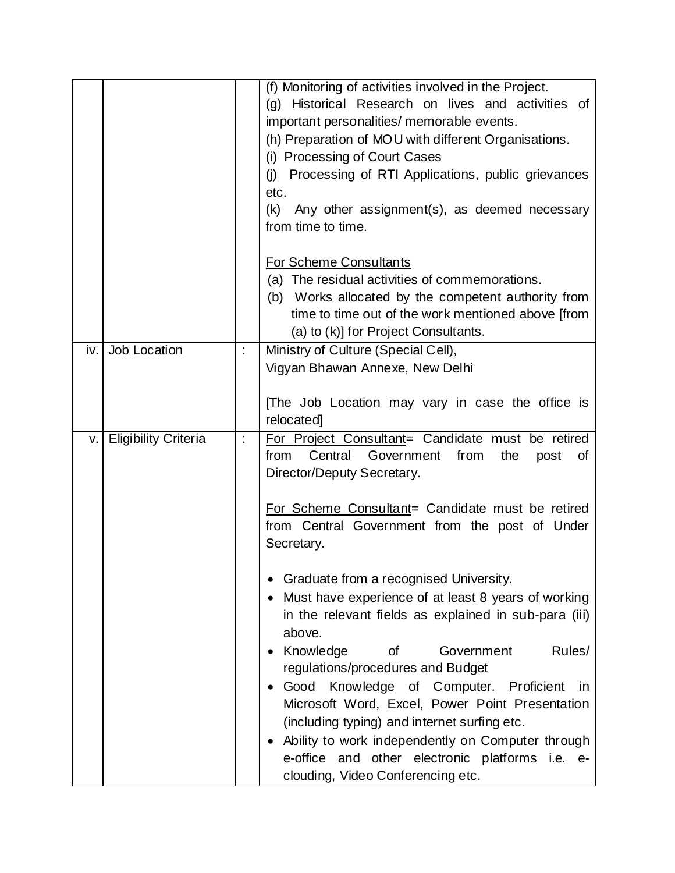|     |                             |   | (f) Monitoring of activities involved in the Project.                                |
|-----|-----------------------------|---|--------------------------------------------------------------------------------------|
|     |                             |   | (g) Historical Research on lives and activities of                                   |
|     |                             |   | important personalities/ memorable events.                                           |
|     |                             |   | (h) Preparation of MOU with different Organisations.                                 |
|     |                             |   | (i) Processing of Court Cases                                                        |
|     |                             |   | (j) Processing of RTI Applications, public grievances                                |
|     |                             |   | etc.                                                                                 |
|     |                             |   | (k)<br>Any other assignment(s), as deemed necessary                                  |
|     |                             |   | from time to time.                                                                   |
|     |                             |   |                                                                                      |
|     |                             |   | For Scheme Consultants                                                               |
|     |                             |   | (a) The residual activities of commemorations.                                       |
|     |                             |   | (b) Works allocated by the competent authority from                                  |
|     |                             |   | time to time out of the work mentioned above [from                                   |
|     |                             |   | (a) to (k)] for Project Consultants.                                                 |
| iv. | Job Location                | Ì | Ministry of Culture (Special Cell),                                                  |
|     |                             |   | Vigyan Bhawan Annexe, New Delhi                                                      |
|     |                             |   |                                                                                      |
|     |                             |   | [The Job Location may vary in case the office is                                     |
|     |                             |   | relocated]                                                                           |
| V.  | <b>Eligibility Criteria</b> | İ | For Project Consultant= Candidate must be retired                                    |
|     |                             |   | Central<br>Government<br>from<br>from<br>the<br>post<br>0f                           |
|     |                             |   | Director/Deputy Secretary.                                                           |
|     |                             |   |                                                                                      |
|     |                             |   | For Scheme Consultant= Candidate must be retired                                     |
|     |                             |   | from Central Government from the post of Under                                       |
|     |                             |   | Secretary.                                                                           |
|     |                             |   |                                                                                      |
|     |                             |   | Graduate from a recognised University.                                               |
|     |                             |   | Must have experience of at least 8 years of working                                  |
|     |                             |   | in the relevant fields as explained in sub-para (iii)                                |
|     |                             |   | above.                                                                               |
|     |                             |   |                                                                                      |
|     |                             |   | Knowledge<br>Rules/<br><b>of</b><br>Government                                       |
|     |                             |   | regulations/procedures and Budget                                                    |
|     |                             |   | Good Knowledge of Computer. Proficient in                                            |
|     |                             |   | Microsoft Word, Excel, Power Point Presentation                                      |
|     |                             |   | (including typing) and internet surfing etc.                                         |
|     |                             |   |                                                                                      |
|     |                             |   | Ability to work independently on Computer through                                    |
|     |                             |   | e-office and other electronic platforms i.e. e-<br>clouding, Video Conferencing etc. |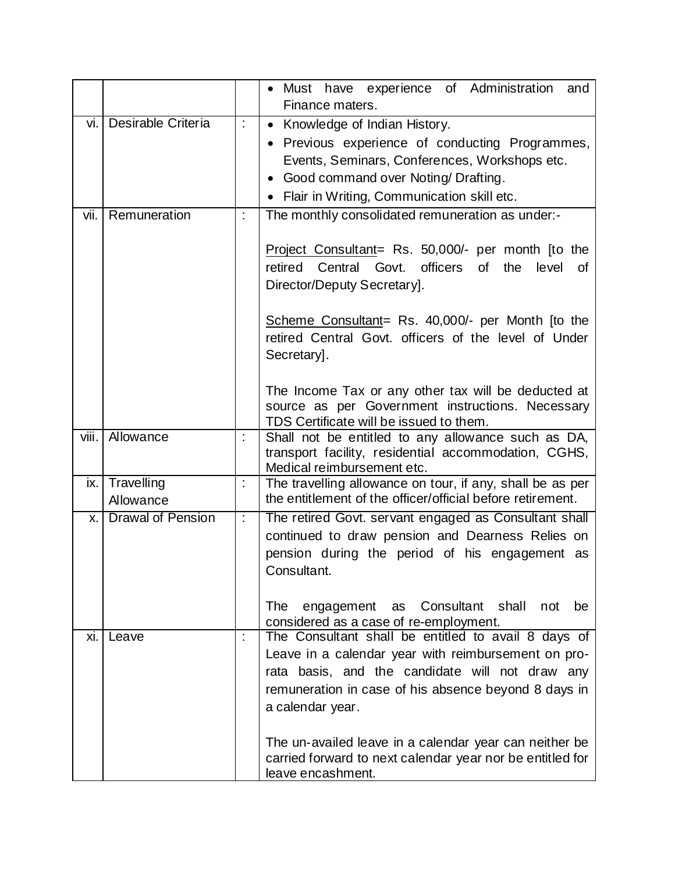|       |                             |                      | · Must have experience of Administration<br>and                                                                                                                                                                                           |
|-------|-----------------------------|----------------------|-------------------------------------------------------------------------------------------------------------------------------------------------------------------------------------------------------------------------------------------|
| vi.   | Desirable Criteria          | $\ddot{\cdot}$       | Finance maters.<br>Knowledge of Indian History.<br>$\bullet$                                                                                                                                                                              |
|       |                             |                      | Previous experience of conducting Programmes,<br>Events, Seminars, Conferences, Workshops etc.                                                                                                                                            |
|       |                             |                      | Good command over Noting/ Drafting.<br>$\bullet$                                                                                                                                                                                          |
|       |                             |                      | Flair in Writing, Communication skill etc.                                                                                                                                                                                                |
| vii.  | Remuneration                | t                    | The monthly consolidated remuneration as under:-                                                                                                                                                                                          |
|       |                             |                      | Project Consultant= Rs. 50,000/- per month [to the<br>retired Central Govt.<br>officers of<br>the<br>level<br>0f<br>Director/Deputy Secretary].                                                                                           |
|       |                             |                      | Scheme Consultant= Rs. 40,000/- per Month [to the<br>retired Central Govt. officers of the level of Under<br>Secretary.                                                                                                                   |
|       |                             |                      | The Income Tax or any other tax will be deducted at<br>source as per Government instructions. Necessary<br>TDS Certificate will be issued to them.                                                                                        |
| viii. | Allowance                   | t                    | Shall not be entitled to any allowance such as DA,<br>transport facility, residential accommodation, CGHS,<br>Medical reimbursement etc.                                                                                                  |
|       | ix. Travelling<br>Allowance | $\ddot{\phantom{a}}$ | The travelling allowance on tour, if any, shall be as per<br>the entitlement of the officer/official before retirement.                                                                                                                   |
| Χ.    | <b>Drawal of Pension</b>    | t.                   | The retired Govt. servant engaged as Consultant shall<br>continued to draw pension and Dearness Relies on<br>pension during the period of his engagement as<br>Consultant.                                                                |
|       |                             |                      | <b>The</b><br>Consultant<br>shall<br>engagement<br>not<br>be<br>as<br>considered as a case of re-employment.                                                                                                                              |
| Xİ.   | Leave                       | t                    | The Consultant shall be entitled to avail 8 days of<br>Leave in a calendar year with reimbursement on pro-<br>rata basis, and the candidate will not draw any<br>remuneration in case of his absence beyond 8 days in<br>a calendar year. |
|       |                             |                      | The un-availed leave in a calendar year can neither be<br>carried forward to next calendar year nor be entitled for<br>leave encashment.                                                                                                  |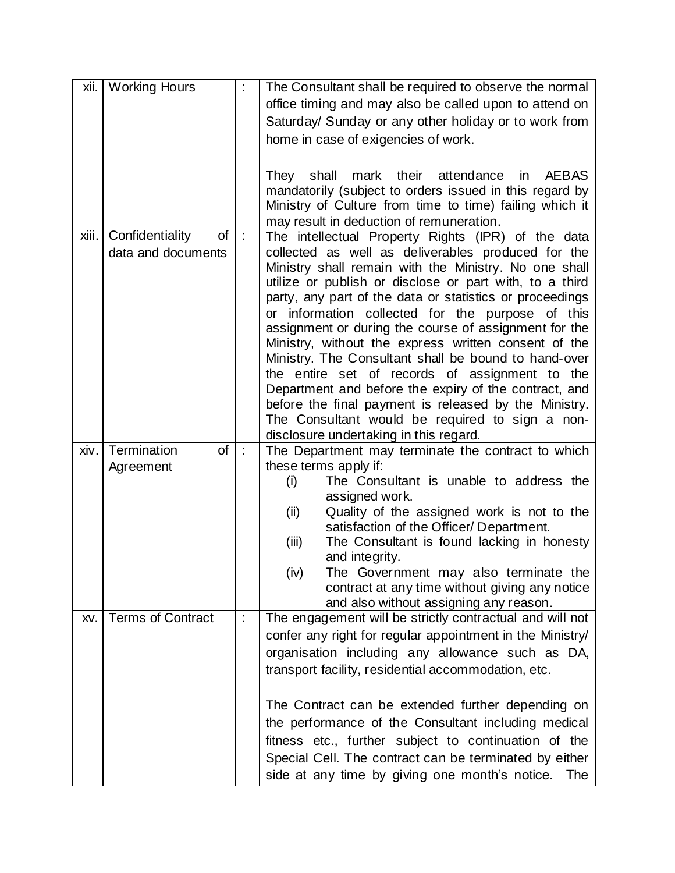| xii.  | <b>Working Hours</b>               |                      | The Consultant shall be required to observe the normal                                                  |
|-------|------------------------------------|----------------------|---------------------------------------------------------------------------------------------------------|
|       |                                    |                      | office timing and may also be called upon to attend on                                                  |
|       |                                    |                      | Saturday/ Sunday or any other holiday or to work from                                                   |
|       |                                    |                      | home in case of exigencies of work.                                                                     |
|       |                                    |                      |                                                                                                         |
|       |                                    |                      | shall mark their<br><b>AEBAS</b><br>attendance<br>They<br>in.                                           |
|       |                                    |                      | mandatorily (subject to orders issued in this regard by                                                 |
|       |                                    |                      | Ministry of Culture from time to time) failing which it                                                 |
|       |                                    |                      | may result in deduction of remuneration.                                                                |
| xiii. | Confidentiality<br>$\overline{of}$ | $\ddot{\phantom{a}}$ | The intellectual Property Rights (IPR) of the data                                                      |
|       | data and documents                 |                      | collected as well as deliverables produced for the                                                      |
|       |                                    |                      | Ministry shall remain with the Ministry. No one shall                                                   |
|       |                                    |                      | utilize or publish or disclose or part with, to a third                                                 |
|       |                                    |                      | party, any part of the data or statistics or proceedings                                                |
|       |                                    |                      | or information collected for the purpose of this                                                        |
|       |                                    |                      | assignment or during the course of assignment for the                                                   |
|       |                                    |                      | Ministry, without the express written consent of the                                                    |
|       |                                    |                      | Ministry. The Consultant shall be bound to hand-over                                                    |
|       |                                    |                      | the entire set of records of assignment to the<br>Department and before the expiry of the contract, and |
|       |                                    |                      | before the final payment is released by the Ministry.                                                   |
|       |                                    |                      | The Consultant would be required to sign a non-                                                         |
|       |                                    |                      | disclosure undertaking in this regard.                                                                  |
| xiv.  | Termination<br>of                  | $\ddot{\cdot}$       | The Department may terminate the contract to which                                                      |
|       | Agreement                          |                      | these terms apply if:                                                                                   |
|       |                                    |                      | The Consultant is unable to address the<br>(i)                                                          |
|       |                                    |                      | assigned work.                                                                                          |
|       |                                    |                      | Quality of the assigned work is not to the<br>(ii)                                                      |
|       |                                    |                      | satisfaction of the Officer/ Department.                                                                |
|       |                                    |                      | The Consultant is found lacking in honesty<br>(iii)                                                     |
|       |                                    |                      | and integrity.                                                                                          |
|       |                                    |                      | (iv)<br>The Government may also terminate the                                                           |
|       |                                    |                      | contract at any time without giving any notice<br>and also without assigning any reason.                |
| XV.   | Terms of Contract                  | $\ddot{\phantom{a}}$ | The engagement will be strictly contractual and will not                                                |
|       |                                    |                      | confer any right for regular appointment in the Ministry/                                               |
|       |                                    |                      | organisation including any allowance such as DA,                                                        |
|       |                                    |                      |                                                                                                         |
|       |                                    |                      | transport facility, residential accommodation, etc.                                                     |
|       |                                    |                      | The Contract can be extended further depending on                                                       |
|       |                                    |                      | the performance of the Consultant including medical                                                     |
|       |                                    |                      | fitness etc., further subject to continuation of the                                                    |
|       |                                    |                      | Special Cell. The contract can be terminated by either                                                  |
|       |                                    |                      |                                                                                                         |
|       |                                    |                      | side at any time by giving one month's notice.<br><b>The</b>                                            |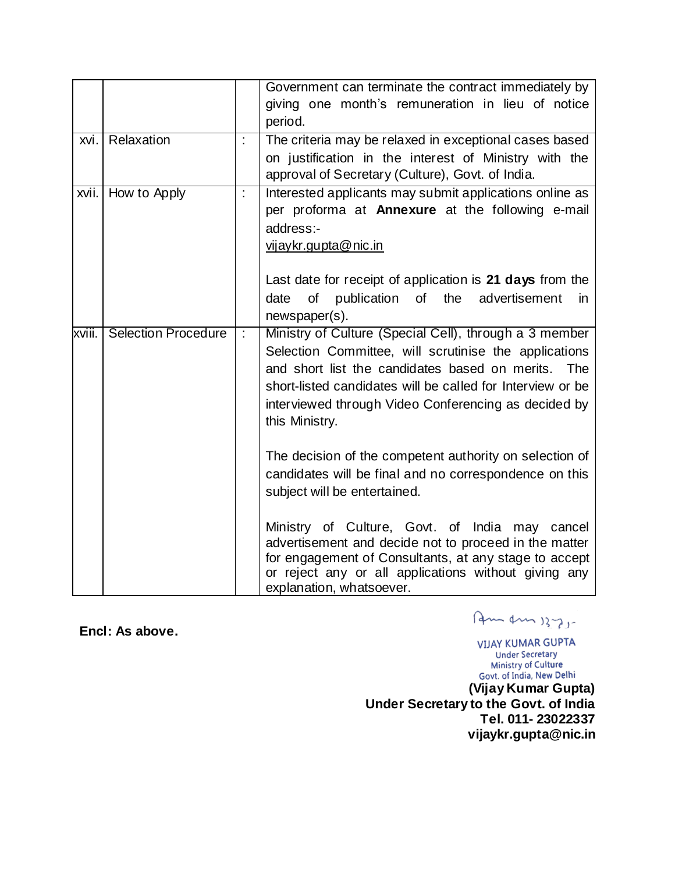|        |                            |                      | Government can terminate the contract immediately by       |
|--------|----------------------------|----------------------|------------------------------------------------------------|
|        |                            |                      | giving one month's remuneration in lieu of notice          |
|        |                            |                      | period.                                                    |
| xvi.   | Relaxation                 | t                    | The criteria may be relaxed in exceptional cases based     |
|        |                            |                      | on justification in the interest of Ministry with the      |
|        |                            |                      | approval of Secretary (Culture), Govt. of India.           |
| xvii.  | How to Apply               | $\ddot{\phantom{a}}$ | Interested applicants may submit applications online as    |
|        |                            |                      | per proforma at Annexure at the following e-mail           |
|        |                            |                      | address:-                                                  |
|        |                            |                      | vijaykr.gupta@nic.in                                       |
|        |                            |                      |                                                            |
|        |                            |                      | Last date for receipt of application is 21 days from the   |
|        |                            |                      | of<br>publication of the advertisement<br>date<br>in       |
|        |                            |                      | newspaper(s).                                              |
| xviii. | <b>Selection Procedure</b> | Ì.                   | Ministry of Culture (Special Cell), through a 3 member     |
|        |                            |                      | Selection Committee, will scrutinise the applications      |
|        |                            |                      | and short list the candidates based on merits.<br>The      |
|        |                            |                      | short-listed candidates will be called for Interview or be |
|        |                            |                      | interviewed through Video Conferencing as decided by       |
|        |                            |                      | this Ministry.                                             |
|        |                            |                      |                                                            |
|        |                            |                      | The decision of the competent authority on selection of    |
|        |                            |                      | candidates will be final and no correspondence on this     |
|        |                            |                      | subject will be entertained.                               |
|        |                            |                      |                                                            |
|        |                            |                      | Ministry of Culture, Govt. of India may cancel             |
|        |                            |                      | advertisement and decide not to proceed in the matter      |
|        |                            |                      | for engagement of Consultants, at any stage to accept      |
|        |                            |                      | or reject any or all applications without giving any       |
|        |                            |                      | explanation, whatsoever.                                   |

**Encl: As above.** 

Am Am 1375-

**VIJAY KUMAR GUPTA Under Secretary Ministry of Culture**<br> **Govt. of India, New Delhi**<br> **(Vijay Kumar Gupta)** 

**Under Secretary to the Govt. of India Tel. 011- 23022337 vijaykr.gupta@nic.in**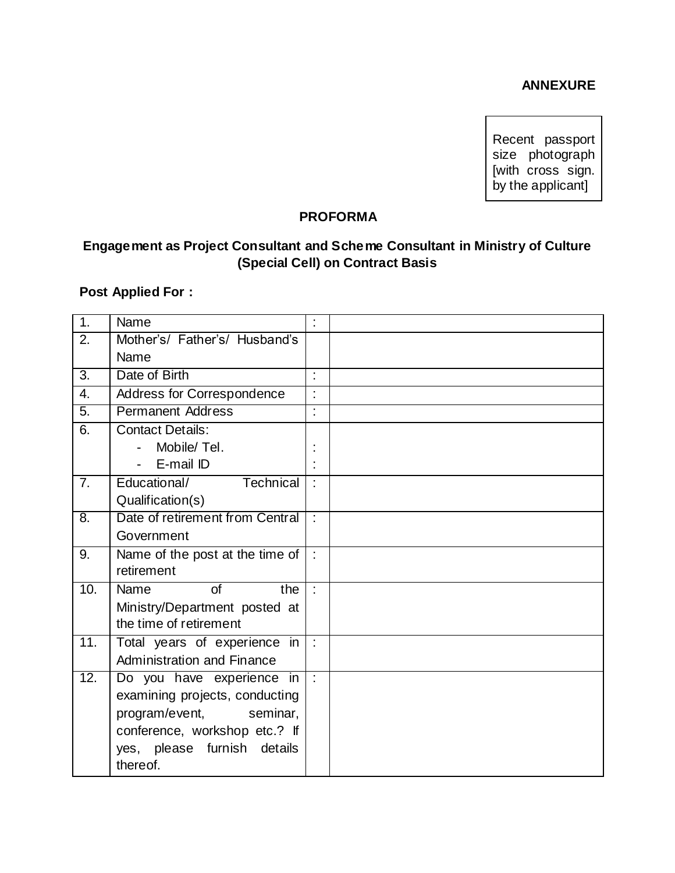#### **ANNEXURE**

Recent passport size photograph [with cross sign. by the applicant]

## **PROFORMA**

# **Engagement as Project Consultant and Scheme Consultant in Ministry of Culture (Special Cell) on Contract Basis**

### **Post Applied For :**

| $\overline{1}$ .  | Name                              | Ì. |  |
|-------------------|-----------------------------------|----|--|
| 2.                | Mother's/ Father's/ Husband's     |    |  |
|                   | Name                              |    |  |
| $\overline{3}$ .  | Date of Birth                     | Ì. |  |
| $\overline{4}$ .  | Address for Correspondence        |    |  |
| $\overline{5}$ .  | <b>Permanent Address</b>          | ٠  |  |
| 6.                | <b>Contact Details:</b>           |    |  |
|                   | Mobile/Tel.                       |    |  |
|                   | E-mail ID                         |    |  |
| 7 <sub>1</sub>    | Educational/<br>Technical         |    |  |
|                   | Qualification(s)                  |    |  |
| $\overline{8}$ .  | Date of retirement from Central   |    |  |
|                   | Government                        |    |  |
| 9.                | Name of the post at the time of   | ÷  |  |
|                   | retirement                        |    |  |
| 10.               | Name<br>$\sigma$ f<br>the         | ÷  |  |
|                   | Ministry/Department posted at     |    |  |
|                   | the time of retirement            |    |  |
| 11.               | Total years of experience in      | ÷  |  |
|                   | <b>Administration and Finance</b> |    |  |
| $\overline{12}$ . | Do you have experience in         | ÷  |  |
|                   | examining projects, conducting    |    |  |
|                   | program/event,<br>seminar,        |    |  |
|                   | conference, workshop etc.? If     |    |  |
|                   | yes, please furnish<br>details    |    |  |
|                   | there of.                         |    |  |